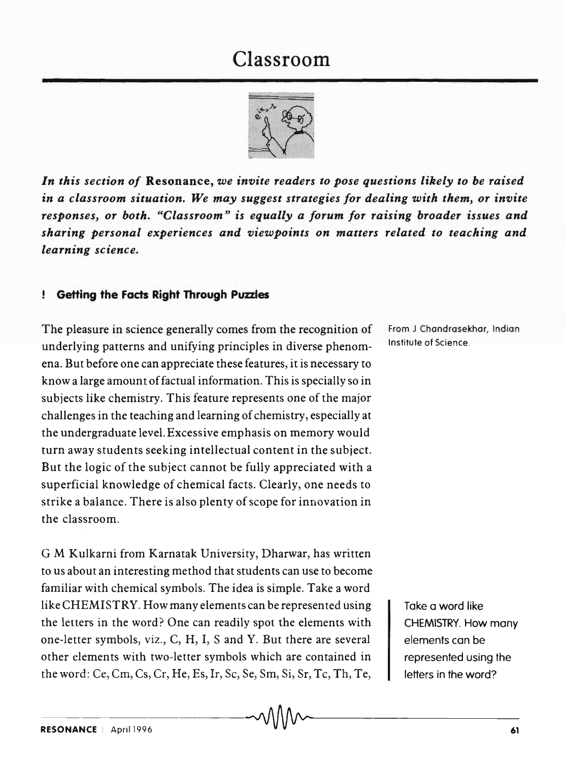## Classroom



*In this section of* Resonance, *we invite readers to pose questions likely to be raised in a classroom situation. We may suggest strategies for dealing with them, or invite responses, or both. "Classroom" is equally a forum for raising broader issues and sharing personal experiences and viewpoints on matters related to teaching and learning science.* 

## ! Getting the Facts Right Through Puzzles

The pleasure in science generally comes from the recognition of underlying patterns and unifying principles in diverse phenomena. But before one can appreciate these features, it is necessary to know a large amount of factual information. This is specially so in subjects like chemistry. This feature represents one of the major challenges in the teaching and learning of chemistry, especially at the undergraduate level. Excessive emphasis on memory would turn away students seeking intellectual content in the subject. But the logic of the subject cannot be fully appreciated with a superficial knowledge of chemical facts. Clearly, one needs to strike a balance. There is also plenty of scope for innovation in the classroom.

G M Kulkarni from Karnatak University, Dharwar, has written to us about an interesting method that students can use to become familiar with chemical symbols. The idea is simple. Take a word like CHEMISTRY. Howmany elements can be represented using the letters in the word? One can readily spot the elements with one-letter symbols, viz., C, H, I, Sand Y. But there are several other elements with two-letter symbols which are contained in the word: Ce, Cm, Cs, Cr, He, Es, Ir, Sc, Se, Sm, Si, Sr, Tc, Th, Te,

From J Chandrasekhar, Indian Institute of Science.

> Take a word like CHEMISTRY. How many elements can be represented using the letters in the word?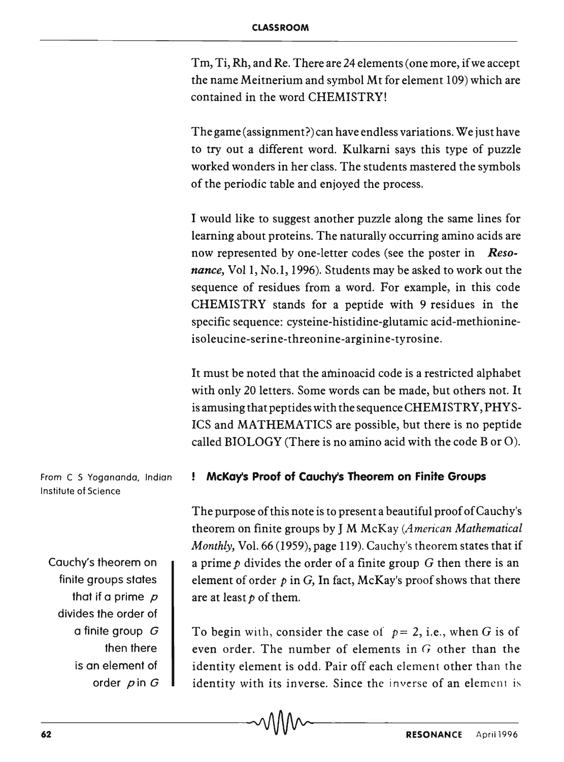Tm, Ti, Rh, and Re. There are 24 elements (one more, if we accept the name Meitnerium and symbol Mt for element 109) which are contained in the word CHEMISTRY!

The game (assignment?) can have endless variations. We just have to try out a different word. Kulkarni says this type of puzzle worked wonders in her class. The students mastered the symbols of the periodic table and enjoyed the process.

I would like to suggest another puzzle along the same lines for learning about proteins. The naturally occurring amino acids are now represented by one-letter codes (see the poster in *Resonance,* Vol 1, No.1, 1996). Students may be asked to work out the sequence of residues from a word. For example, in this code CHEMISTRY stands for a peptide with 9 residues in the specific sequence: cysteine-histidine-glutamic acid-methionineisoleucine-serine-threonine-arginine-tyrosine.

It must be noted that the aminoacid code is a restricted alphabet with only 20 letters. Some words can be made, but others not. It is amusing that peptides with the sequence CHEMISTRY, PHYS-ICS and MATHEMATICS are possible, but there is no peptide called BIOLOGY (There is no amino acid with the code B or 0).

## **! McKays Proof of Cauchys Theorem on Finite Groups**

The purpose of this note is to present a beautiful proof of Cauchy's theorem on finite groups by J M McKay *(American Mathematical Monthly, Vol.* 66 (1959), page 119). Cauchy's theorem states that if a prime *p* divides the order of a finite group G then there is an element of order  $p$  in G, In fact, McKay's proof shows that there are at least *p* of them.

To begin with, consider the case of  $p=2$ , i.e., when G is of even order. The number of elements in  $G$  other than the identity element is odd. Pair off each element other than the identity with its inverse. Since the inverse of an element is

From C S Yogananda, Indian Institute of Science

Cauchy's theorem on finite groups states that if a prime  $\mathcal{D}$ divides the order of a finite group G then there is an element of order  $p$  in  $G$